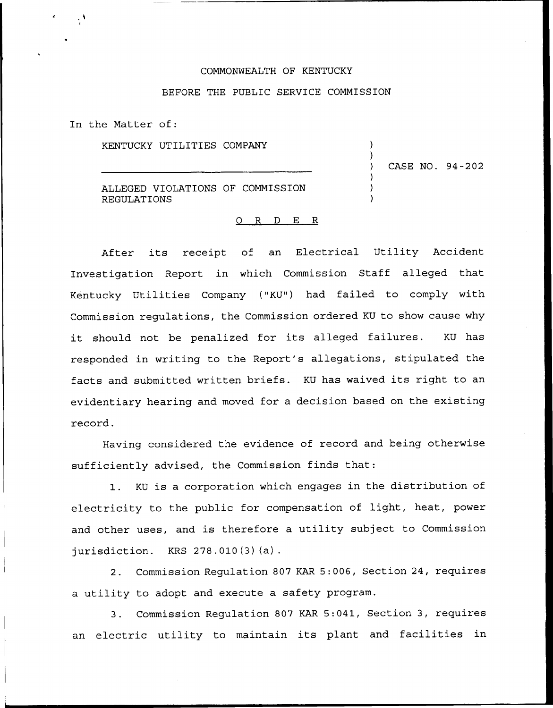## COMMONWEALTH OF KENTUCKY

## BEFORE THE PUBLIC SERVICE COMMISSION

) )

) ) ) ) CASE NO. 94-202

In the Matter of:

KENTUCKY UTILITIES COMPANY

ALLEGED VIOLATIONS OF COMMISSION REGULATIONS

## 0 R <sup>D</sup> E R

After its receipt of an Electrical Utility Accident Investigation Report in which Commission Staff alleged that Kentucky Utilities Company ("KU") had failed to comply with Commission regulations, the Commission ordered KU to show cause why it should not be penalized for its alleged failures. KU has responded in writing to the Report's allegations, stipulated the facts and submitted written briefs. KU has waived its right to an evidentiary hearing and moved for a decision based on the existing record.

Having considered the evidence of record and being otherwise sufficiently advised, the Commission finds that:

1. KU is <sup>a</sup> corporation which engages in the distribution of electricity to the public for compensation of light, heat, power and other uses, and is therefore a utility subject to Commission jurisdiction. KRS 278.010(3)(a).

2. Commission Regulation 807 KAR 5:006, Section 24, requires a utility to adopt and execute a safety program.

3. Commission Regulation 807 KAR 5:041, Section 3, requires an electric utility to maintain its plant and facilities in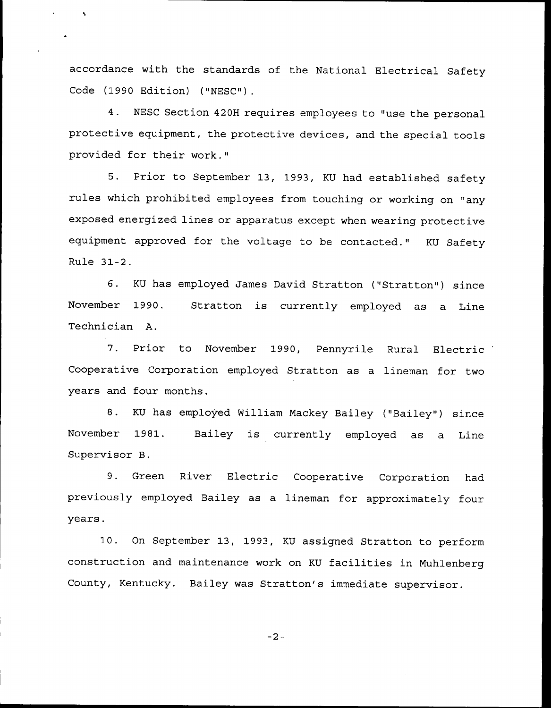accordance with the standards of the National Electrical Safety Code (1990 Edition) ("NESC").

 $\ddot{\phantom{1}}$ 

4. NESC Section 420H requires employees to "use the personal protective equipment, the protective devices, and the special tools provided for their work."

5. Prior to September 13, 1993, KU had established safety rules which prohibited employees from touching or working on "any exposed energized lines or apparatus except when wearing protective equipment approved for the voltage to be contacted." KU Safety Rule 31-2 .

6. KU has employed James David Stratton ("Stratton") since November 1990. Technician A. Stratton is currently employed as a Line

7. Prior to November 1990, Pennyrile Rural Electric Cooperative Corporation employed Stratton as a lineman for two years and four months.

8. KU has employed William Mackey Bailey ("Bailey") since November 1981. Bailey is currently employed as a Line Supervisor B.

9. Green River Electric Cooperative Corporation had previously employed Bailey as a lineman for approximately four years.

10. On September 13, 1993, KU assigned Stratton to perform construction and maintenance work on KU facilities in Muhlenberg County, Kentucky. Bailey was Stratton's immediate supervisor.

$$
-2-
$$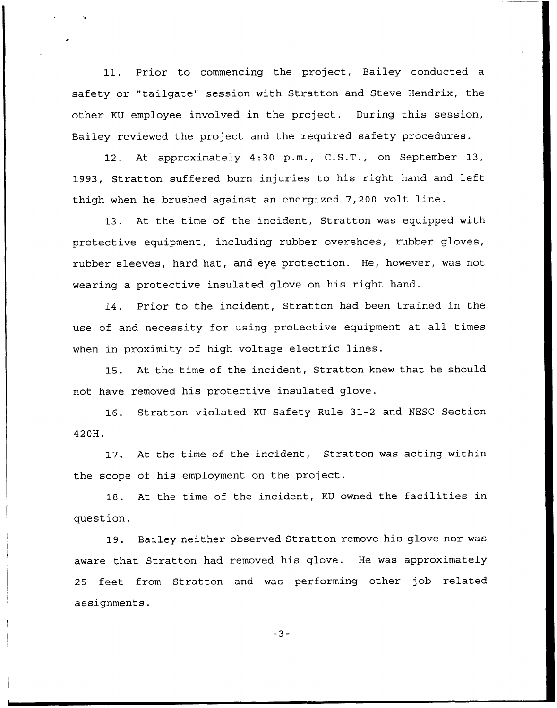11. Prior to commencing the project, Bailey conducted a safety or "tailgate" session with Stratton and Steve Hendrix, the other KU employee involved in the project. During this session, Bailey reviewed the project and the required safety procedures.

12. At approximately 4:30 p.m., C.S.T., on September 13, 1993, Stratton suffered burn injuries to his right hand and left thigh when he brushed against an energized 7,200 volt line.

13. At the time of the incident, Stratton was equipped with protective equipment, including rubber overshoes, rubber gloves, rubber sleeves, hard hat, and eye protection. He, however, was not wearing a protective insulated glove on his right hand.

14. Prior to the incident, Stratton had been trained in the use of and necessity for using protective equipment at all times when in proximity of high voltage electric lines.

15. At the time of the incident, Stratton knew that he should not have removed his protective insulated glove.

16. Stratton violated KU Safety Rule 31-2 and MESC Section 420H.

17. At the time of the incident, Stratton was acting within the scope of his employment on the project.

18. At the time of the incident, KU owned the facilities in question.

19. Bailey neither observed Stratton remove his glove nor was aware that Stratton had removed his glove. He was approximately 25 feet from Stratton and was performing other job related assignments.

 $-3-$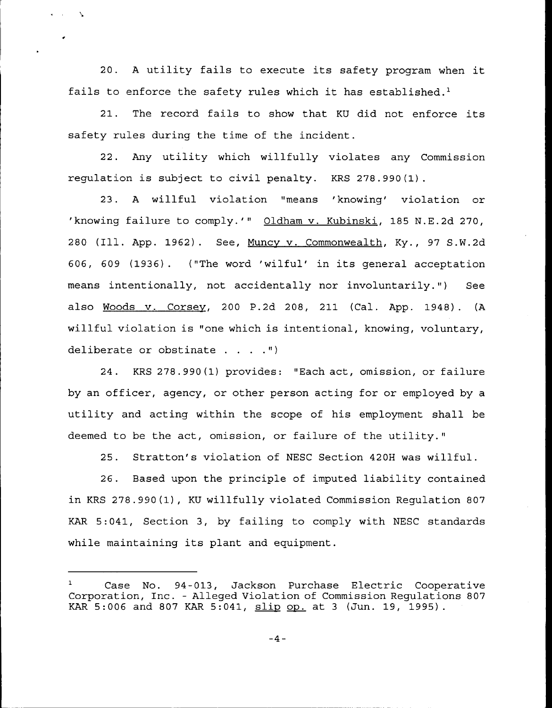20. <sup>A</sup> utility fails to execute its safety program when it fails to enforce the safety rules which it has established.<sup>1</sup>

 $\sim$   $\sim$ 

 $21.$ The record fails to show that KU did not enforce its safety rules during the time of the incident.

22. Any utility which willfully violates any Commission regulation is subject to civil penalty. KRS 278.990(1).

23. A willful violation "means 'knowing' violation or 'knowing failure to comply.'" Oldham v. Kubinski, 185 N.E.2d 270, 280 (Ill. App. 1962). See, Muncy v. Commonwealth, Ky., 97 S.W.2d 606, <sup>609</sup> (1936). ("The word 'wilful'n its general acceptation means intentionally, not accidentally nor involuntarily.") See also Woods v. Corsey, 200 P.2d 208, 211 (Cal. App. 1948). (A willful violation is "one which is intentional, knowing, voluntary, deliberate or obstinate  $\ldots$ .")

24. KRS 278.990(1) provides: "Each act, omission, or failure by an officer, agency, or other person acting for or employed by a utility and acting within the scope of his employment shall be deemed to be the act, omission, or failure of the utility."

25. Stratton's violation of MESC Section 420H was willful.

26. Based upon the principle of imputed liability contained in KRS 278.990(1), KU willfully violated Commission Regulation 807 KAR 5:041, Section 3, by failing to comply with NESC standards while maintaining its plant and equipment.

Case No. 94-013, Jackson Purchase Electric Cooperativ Corporation, Inc. — Alleged Violation of Commission Regulations 807 KAR 5:006 and 807 KAR 5:041,  $\underline{\text{slip}}$  op. at 3 (Jun. 19, 1995).